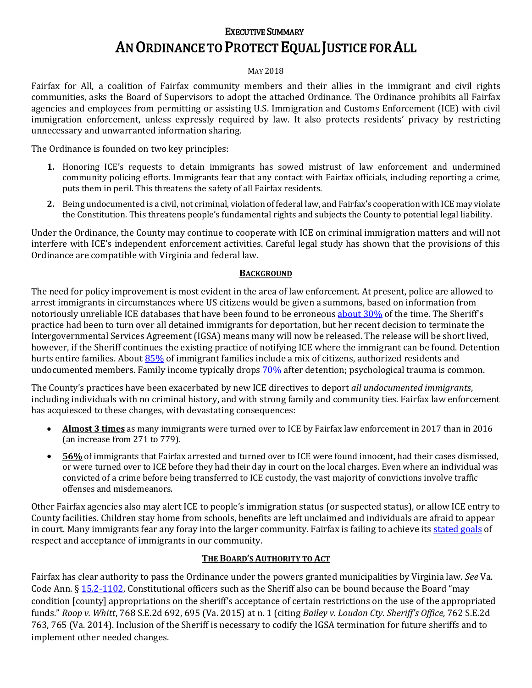# EXECUTIVE SUMMARY AN ORDINANCE TO PROTECT EQUAL JUSTICE FOR ALL

#### MAY 2018

Fairfax for All, a coalition of Fairfax community members and their allies in the immigrant and civil rights communities, asks the Board of Supervisors to adopt the attached Ordinance. The Ordinance prohibits all Fairfax agencies and employees from permitting or assisting U.S. Immigration and Customs Enforcement (ICE) with civil immigration enforcement, unless expressly required by law. It also protects residents' privacy by restricting unnecessary and unwarranted information sharing.

The Ordinance is founded on two key principles:

- **1.** Honoring ICE's requests to detain immigrants has sowed mistrust of law enforcement and undermined community policing efforts. Immigrants fear that any contact with Fairfax officials, including reporting a crime, puts them in peril. This threatens the safety of all Fairfax residents.
- **2.** Being undocumented is a civil, not criminal, violation of federal law, and Fairfax's cooperation with ICE may violate the Constitution. This threatens people's fundamental rights and subjects the County to potential legal liability.

Under the Ordinance, the County may continue to cooperate with ICE on criminal immigration matters and will not interfere with ICE's independent enforcement activities. Careful legal study has shown that the provisions of this Ordinance are compatible with Virginia and federal law.

#### **BACKGROUND**

The need for policy improvement is most evident in the area of law enforcement. At present, police are allowed to arrest immigrants in circumstances where US citizens would be given a summons, based on information from notoriously unreliable ICE databases that have been found to be erroneou[s about 30%](http://www.laweekly.com/news/ice-uses-faulty-database-to-detain-immigrants-aclu-lawsuit-says-8250660) of the time. The Sheriff's practice had been to turn over all detained immigrants for deportation, but her recent decision to terminate the Intergovernmental Services Agreement (IGSA) means many will now be released. The release will be short lived, however, if the Sheriff continues the existing practice of notifying ICE where the immigrant can be found. Detention hurts entire families. About [85%](http://www.policylink.org/sites/default/files/INSECURE_COMMUNITIES_REPORT_FINAL.PDF) of immigrant families include a mix of citizens, authorized residents and undocumented members. Family income typically drops [70%](https://www.migrationpolicy.org/news/deportation-parent-can-have-significant-and-long-lasting-harmful-effects-child-well-being-pair) after detention; psychological trauma is common.

The County's practices have been exacerbated by new ICE directives to deport *all undocumented immigrants*, including individuals with no criminal history, and with strong family and community ties. Fairfax law enforcement has acquiesced to these changes, with devastating consequences:

- **Almost 3 times** as many immigrants were turned over to ICE by Fairfax law enforcement in 2017 than in 2016 (an increase from 271 to 779).
- **56%** of immigrants that Fairfax arrested and turned over to ICE were found innocent, had their cases dismissed, or were turned over to ICE before they had their day in court on the local charges. Even where an individual was convicted of a crime before being transferred to ICE custody, the vast majority of convictions involve traffic offenses and misdemeanors.

Other Fairfax agencies also may alert ICE to people's immigration status (or suspected status), or allow ICE entry to County facilities. Children stay home from schools, benefits are left unclaimed and individuals are afraid to appear in court. Many immigrants fear any foray into the larger community. Fairfax is failing to achieve its [stated goals](https://www.fairfaxcounty.gov/news/2017/immigrants.htm) of respect and acceptance of immigrants in our community.

### **THE BOARD'S AUTHORITY TO ACT**

Fairfax has clear authority to pass the Ordinance under the powers granted municipalities by Virginia law. *See* Va. Code Ann.  $\S 15.2-1102$ . Constitutional officers such as the Sheriff also can be bound because the Board "may condition [county] appropriations on the sheriff's acceptance of certain restrictions on the use of the appropriated funds." *Roop v. Whitt*, 768 S.E.2d 692, 695 (Va. 2015) at n. 1 (citing *Bailey v. Loudon Cty. Sheriff's Office,* 762 S.E.2d 763, 765 (Va. 2014). Inclusion of the Sheriff is necessary to codify the IGSA termination for future sheriffs and to implement other needed changes.